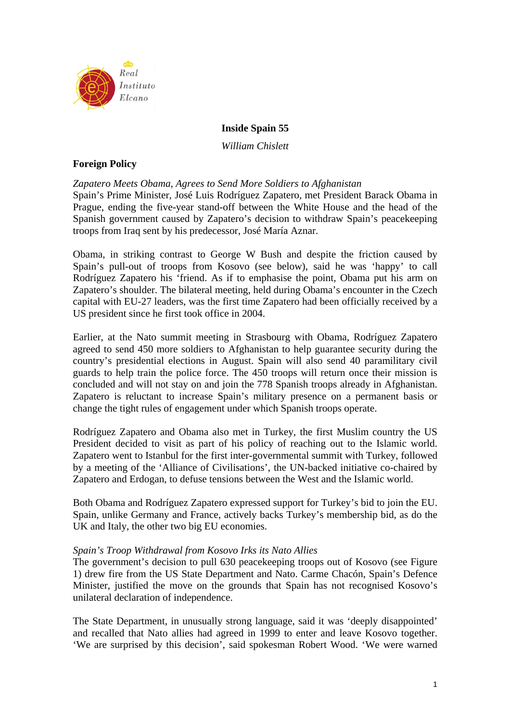

## **Inside Spain 55**

*William Chislett* 

## **Foreign Policy**

*Zapatero Meets Obama, Agrees to Send More Soldiers to Afghanistan* 

Spain's Prime Minister, José Luis Rodríguez Zapatero, met President Barack Obama in Prague, ending the five-year stand-off between the White House and the head of the Spanish government caused by Zapatero's decision to withdraw Spain's peacekeeping troops from Iraq sent by his predecessor, José María Aznar.

Obama, in striking contrast to George W Bush and despite the friction caused by Spain's pull-out of troops from Kosovo (see below), said he was 'happy' to call Rodríguez Zapatero his 'friend. As if to emphasise the point, Obama put his arm on Zapatero's shoulder. The bilateral meeting, held during Obama's encounter in the Czech capital with EU-27 leaders, was the first time Zapatero had been officially received by a US president since he first took office in 2004.

Earlier, at the Nato summit meeting in Strasbourg with Obama, Rodríguez Zapatero agreed to send 450 more soldiers to Afghanistan to help guarantee security during the country's presidential elections in August. Spain will also send 40 paramilitary civil guards to help train the police force. The 450 troops will return once their mission is concluded and will not stay on and join the 778 Spanish troops already in Afghanistan. Zapatero is reluctant to increase Spain's military presence on a permanent basis or change the tight rules of engagement under which Spanish troops operate.

Rodríguez Zapatero and Obama also met in Turkey, the first Muslim country the US President decided to visit as part of his policy of reaching out to the Islamic world. Zapatero went to Istanbul for the first inter-governmental summit with Turkey, followed by a meeting of the 'Alliance of Civilisations', the UN-backed initiative co-chaired by Zapatero and Erdogan, to defuse tensions between the West and the Islamic world.

Both Obama and Rodríguez Zapatero expressed support for Turkey's bid to join the EU. Spain, unlike Germany and France, actively backs Turkey's membership bid, as do the UK and Italy, the other two big EU economies.

### *Spain's Troop Withdrawal from Kosovo Irks its Nato Allies*

The government's decision to pull 630 peacekeeping troops out of Kosovo (see Figure 1) drew fire from the US State Department and Nato. Carme Chacón, Spain's Defence Minister, justified the move on the grounds that Spain has not recognised Kosovo's unilateral declaration of independence.

The State Department, in unusually strong language, said it was 'deeply disappointed' and recalled that Nato allies had agreed in 1999 to enter and leave Kosovo together. 'We are surprised by this decision', said spokesman Robert Wood. 'We were warned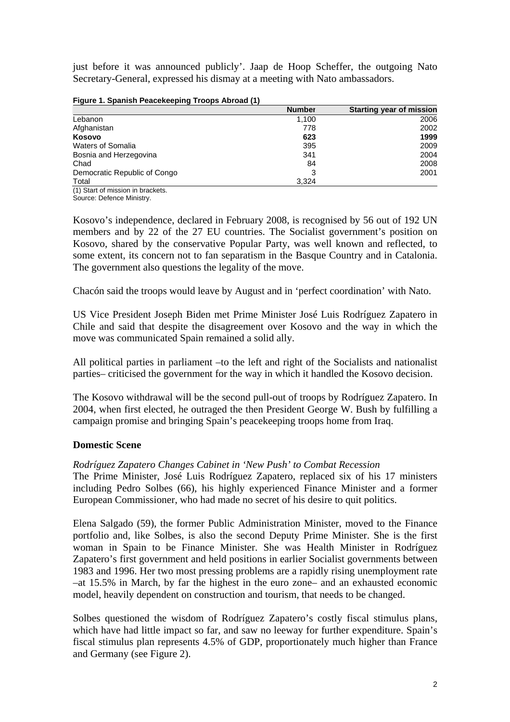just before it was announced publicly'. Jaap de Hoop Scheffer, the outgoing Nato Secretary-General, expressed his dismay at a meeting with Nato ambassadors.

| Figure 1. Spanish Peacekeeping Troops Abroad (1) |               |                                 |  |  |
|--------------------------------------------------|---------------|---------------------------------|--|--|
|                                                  | <b>Number</b> | <b>Starting year of mission</b> |  |  |
| Lebanon                                          | 1.100         | 2006                            |  |  |
| Afghanistan                                      | 778           | 2002                            |  |  |
| <b>Kosovo</b>                                    | 623           | 1999                            |  |  |
| <b>Waters of Somalia</b>                         | 395           | 2009                            |  |  |
| Bosnia and Herzegovina                           | 341           | 2004                            |  |  |
| Chad                                             | 84            | 2008                            |  |  |
| Democratic Republic of Congo                     | 3             | 2001                            |  |  |
| Total                                            | 3,324         |                                 |  |  |
| (4) Otant of mission in boardcate                |               |                                 |  |  |

(1) Start of mission in brackets. Source: Defence Ministry.

Kosovo's independence, declared in February 2008, is recognised by 56 out of 192 UN members and by 22 of the 27 EU countries. The Socialist government's position on Kosovo, shared by the conservative Popular Party, was well known and reflected, to some extent, its concern not to fan separatism in the Basque Country and in Catalonia. The government also questions the legality of the move.

Chacón said the troops would leave by August and in 'perfect coordination' with Nato.

US Vice President Joseph Biden met Prime Minister José Luis Rodríguez Zapatero in Chile and said that despite the disagreement over Kosovo and the way in which the move was communicated Spain remained a solid ally.

All political parties in parliament –to the left and right of the Socialists and nationalist parties– criticised the government for the way in which it handled the Kosovo decision.

The Kosovo withdrawal will be the second pull-out of troops by Rodríguez Zapatero. In 2004, when first elected, he outraged the then President George W. Bush by fulfilling a campaign promise and bringing Spain's peacekeeping troops home from Iraq.

# **Domestic Scene**

*Rodríguez Zapatero Changes Cabinet in 'New Push' to Combat Recession* 

The Prime Minister, José Luis Rodríguez Zapatero, replaced six of his 17 ministers including Pedro Solbes (66), his highly experienced Finance Minister and a former European Commissioner, who had made no secret of his desire to quit politics.

Elena Salgado (59), the former Public Administration Minister, moved to the Finance portfolio and, like Solbes, is also the second Deputy Prime Minister. She is the first woman in Spain to be Finance Minister. She was Health Minister in Rodríguez Zapatero's first government and held positions in earlier Socialist governments between 1983 and 1996. Her two most pressing problems are a rapidly rising unemployment rate –at 15.5% in March, by far the highest in the euro zone– and an exhausted economic model, heavily dependent on construction and tourism, that needs to be changed.

Solbes questioned the wisdom of Rodríguez Zapatero's costly fiscal stimulus plans, which have had little impact so far, and saw no leeway for further expenditure. Spain's fiscal stimulus plan represents 4.5% of GDP, proportionately much higher than France and Germany (see Figure 2).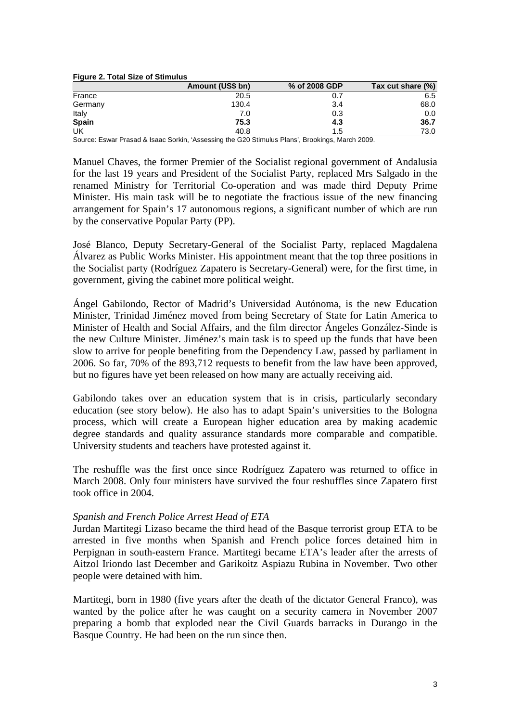| <b>Figure 2. Total Size of Stimulus</b> |                  |               |                   |  |  |
|-----------------------------------------|------------------|---------------|-------------------|--|--|
|                                         | Amount (US\$ bn) | % of 2008 GDP | Tax cut share (%) |  |  |
| France                                  | 20.5             | 0.7           | 6.5               |  |  |
| Germany                                 | 130.4            | 3.4           | 68.0              |  |  |
| Italy                                   | 7.0              | 0.3           | 0.0               |  |  |
| Spain                                   | 75.3             | 4.3           | 36.7              |  |  |
| UK                                      | 40.8             | 1.5           | 73.0              |  |  |

Source: Eswar Prasad & Isaac Sorkin, 'Assessing the G20 Stimulus Plans', Brookings, March 2009.

Manuel Chaves, the former Premier of the Socialist regional government of Andalusia for the last 19 years and President of the Socialist Party, replaced Mrs Salgado in the renamed Ministry for Territorial Co-operation and was made third Deputy Prime Minister. His main task will be to negotiate the fractious issue of the new financing arrangement for Spain's 17 autonomous regions, a significant number of which are run by the conservative Popular Party (PP).

José Blanco, Deputy Secretary-General of the Socialist Party, replaced Magdalena Álvarez as Public Works Minister. His appointment meant that the top three positions in the Socialist party (Rodríguez Zapatero is Secretary-General) were, for the first time, in government, giving the cabinet more political weight.

Ángel Gabilondo, Rector of Madrid's Universidad Autónoma, is the new Education Minister, Trinidad Jiménez moved from being Secretary of State for Latin America to Minister of Health and Social Affairs, and the film director Ángeles González-Sinde is the new Culture Minister. Jiménez's main task is to speed up the funds that have been slow to arrive for people benefiting from the Dependency Law, passed by parliament in 2006. So far, 70% of the 893,712 requests to benefit from the law have been approved, but no figures have yet been released on how many are actually receiving aid.

Gabilondo takes over an education system that is in crisis, particularly secondary education (see story below). He also has to adapt Spain's universities to the Bologna process, which will create a European higher education area by making academic degree standards and quality assurance standards more comparable and compatible. University students and teachers have protested against it.

The reshuffle was the first once since Rodríguez Zapatero was returned to office in March 2008. Only four ministers have survived the four reshuffles since Zapatero first took office in 2004.

### *Spanish and French Police Arrest Head of ETA*

Jurdan Martitegi Lizaso became the third head of the Basque terrorist group ETA to be arrested in five months when Spanish and French police forces detained him in Perpignan in south-eastern France. Martitegi became ETA's leader after the arrests of Aitzol Iriondo last December and Garikoitz Aspiazu Rubina in November. Two other people were detained with him.

Martitegi, born in 1980 (five years after the death of the dictator General Franco), was wanted by the police after he was caught on a security camera in November 2007 preparing a bomb that exploded near the Civil Guards barracks in Durango in the Basque Country. He had been on the run since then.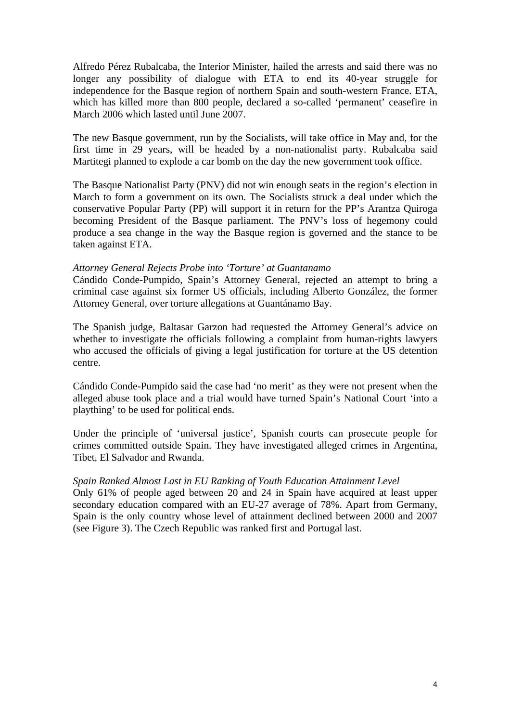Alfredo Pérez Rubalcaba, the Interior Minister, hailed the arrests and said there was no longer any possibility of dialogue with ETA to end its 40-year struggle for independence for the Basque region of northern Spain and south-western France. ETA, which has killed more than 800 people, declared a so-called 'permanent' ceasefire in March 2006 which lasted until June 2007.

The new Basque government, run by the Socialists, will take office in May and, for the first time in 29 years, will be headed by a non-nationalist party. Rubalcaba said Martitegi planned to explode a car bomb on the day the new government took office.

The Basque Nationalist Party (PNV) did not win enough seats in the region's election in March to form a government on its own. The Socialists struck a deal under which the conservative Popular Party (PP) will support it in return for the PP's Arantza Quiroga becoming President of the Basque parliament. The PNV's loss of hegemony could produce a sea change in the way the Basque region is governed and the stance to be taken against ETA.

### *Attorney General Rejects Probe into 'Torture' at Guantanamo*

Cándido Conde-Pumpido, Spain's Attorney General, rejected an attempt to bring a criminal case against six former US officials, including Alberto González, the former Attorney General, over torture allegations at Guantánamo Bay.

The Spanish judge, Baltasar Garzon had requested the Attorney General's advice on whether to investigate the officials following a complaint from human-rights lawyers who accused the officials of giving a legal justification for torture at the US detention centre.

Cándido Conde-Pumpido said the case had 'no merit' as they were not present when the alleged abuse took place and a trial would have turned Spain's National Court 'into a plaything' to be used for political ends.

Under the principle of 'universal justice', Spanish courts can prosecute people for crimes committed outside Spain. They have investigated alleged crimes in Argentina, Tibet, El Salvador and Rwanda.

# *Spain Ranked Almost Last in EU Ranking of Youth Education Attainment Level*

Only 61% of people aged between 20 and 24 in Spain have acquired at least upper secondary education compared with an EU-27 average of 78%. Apart from Germany, Spain is the only country whose level of attainment declined between 2000 and 2007 (see Figure 3). The Czech Republic was ranked first and Portugal last.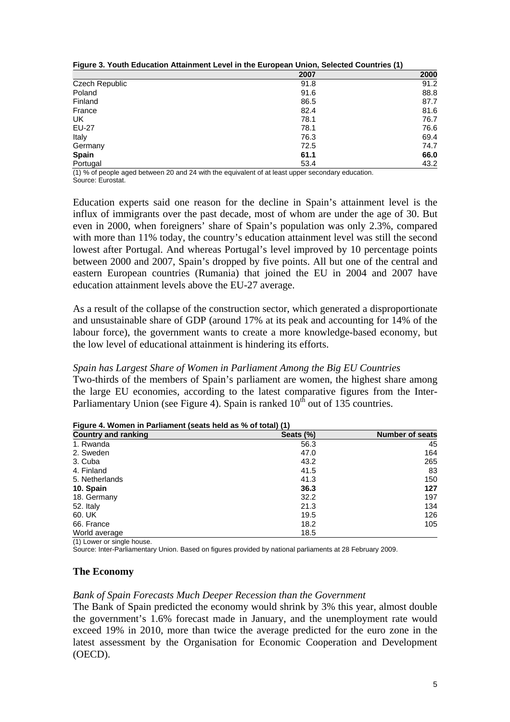|                | 2007 | 2000 |
|----------------|------|------|
| Czech Republic | 91.8 | 91.2 |
| Poland         | 91.6 | 88.8 |
| Finland        | 86.5 | 87.7 |
| France         | 82.4 | 81.6 |
| UK             | 78.1 | 76.7 |
| <b>EU-27</b>   | 78.1 | 76.6 |
| Italy          | 76.3 | 69.4 |
| Germany        | 72.5 | 74.7 |
| <b>Spain</b>   | 61.1 | 66.0 |
| Portugal       | 53.4 | 43.2 |

| Figure 3. Youth Education Attainment Level in the European Union, Selected Countries (1) |
|------------------------------------------------------------------------------------------|
|------------------------------------------------------------------------------------------|

(1) % of people aged between 20 and 24 with the equivalent of at least upper secondary education. Source: Eurostat.

Education experts said one reason for the decline in Spain's attainment level is the influx of immigrants over the past decade, most of whom are under the age of 30. But even in 2000, when foreigners' share of Spain's population was only 2.3%, compared with more than 11% today, the country's education attainment level was still the second lowest after Portugal. And whereas Portugal's level improved by 10 percentage points between 2000 and 2007, Spain's dropped by five points. All but one of the central and eastern European countries (Rumania) that joined the EU in 2004 and 2007 have education attainment levels above the EU-27 average.

As a result of the collapse of the construction sector, which generated a disproportionate and unsustainable share of GDP (around 17% at its peak and accounting for 14% of the labour force), the government wants to create a more knowledge-based economy, but the low level of educational attainment is hindering its efforts.

### *Spain has Largest Share of Women in Parliament Among the Big EU Countries*

Two-thirds of the members of Spain's parliament are women, the highest share among the large EU economies, according to the latest comparative figures from the Inter-Parliamentary Union (see Figure 4). Spain is ranked  $10<sup>th</sup>$  out of 135 countries.

| <b>Country and ranking</b> | Seats (%) | <b>Number of seats</b> |
|----------------------------|-----------|------------------------|
| 1. Rwanda                  | 56.3      | 45                     |
| 2. Sweden                  | 47.0      | 164                    |
| 3. Cuba                    | 43.2      | 265                    |
| 4. Finland                 | 41.5      | 83                     |
| 5. Netherlands             | 41.3      | 150                    |
| 10. Spain                  | 36.3      | 127                    |
| 18. Germany                | 32.2      | 197                    |
| 52. Italy                  | 21.3      | 134                    |
| 60. UK                     | 19.5      | 126                    |
| 66. France                 | 18.2      | 105                    |
| World average              | 18.5      |                        |

|  | Figure 4. Women in Parliament (seats held as % of total) (1) |  |  |
|--|--------------------------------------------------------------|--|--|
|  |                                                              |  |  |

(1) Lower or single house.

Source: Inter-Parliamentary Union. Based on figures provided by national parliaments at 28 February 2009.

### **The Economy**

### *Bank of Spain Forecasts Much Deeper Recession than the Government*

The Bank of Spain predicted the economy would shrink by 3% this year, almost double the government's 1.6% forecast made in January, and the unemployment rate would exceed 19% in 2010, more than twice the average predicted for the euro zone in the latest assessment by the Organisation for Economic Cooperation and Development (OECD).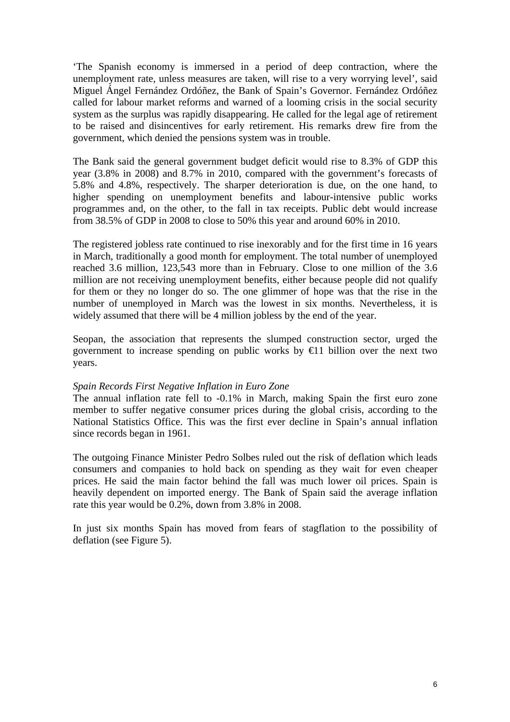'The Spanish economy is immersed in a period of deep contraction, where the unemployment rate, unless measures are taken, will rise to a very worrying level', said Miguel Ángel Fernández Ordóñez, the Bank of Spain's Governor. Fernández Ordóñez called for labour market reforms and warned of a looming crisis in the social security system as the surplus was rapidly disappearing. He called for the legal age of retirement to be raised and disincentives for early retirement. His remarks drew fire from the government, which denied the pensions system was in trouble.

The Bank said the general government budget deficit would rise to 8.3% of GDP this year (3.8% in 2008) and 8.7% in 2010, compared with the government's forecasts of 5.8% and 4.8%, respectively. The sharper deterioration is due, on the one hand, to higher spending on unemployment benefits and labour-intensive public works programmes and, on the other, to the fall in tax receipts. Public debt would increase from 38.5% of GDP in 2008 to close to 50% this year and around 60% in 2010.

The registered jobless rate continued to rise inexorably and for the first time in 16 years in March, traditionally a good month for employment. The total number of unemployed reached 3.6 million, 123,543 more than in February. Close to one million of the 3.6 million are not receiving unemployment benefits, either because people did not qualify for them or they no longer do so. The one glimmer of hope was that the rise in the number of unemployed in March was the lowest in six months. Nevertheless, it is widely assumed that there will be 4 million jobless by the end of the year.

Seopan, the association that represents the slumped construction sector, urged the government to increase spending on public works by  $\bigoplus$  1 billion over the next two years.

### *Spain Records First Negative Inflation in Euro Zone*

The annual inflation rate fell to -0.1% in March, making Spain the first euro zone member to suffer negative consumer prices during the global crisis, according to the National Statistics Office. This was the first ever decline in Spain's annual inflation since records began in 1961.

The outgoing Finance Minister Pedro Solbes ruled out the risk of deflation which leads consumers and companies to hold back on spending as they wait for even cheaper prices. He said the main factor behind the fall was much lower oil prices. Spain is heavily dependent on imported energy. The Bank of Spain said the average inflation rate this year would be 0.2%, down from 3.8% in 2008.

In just six months Spain has moved from fears of stagflation to the possibility of deflation (see Figure 5).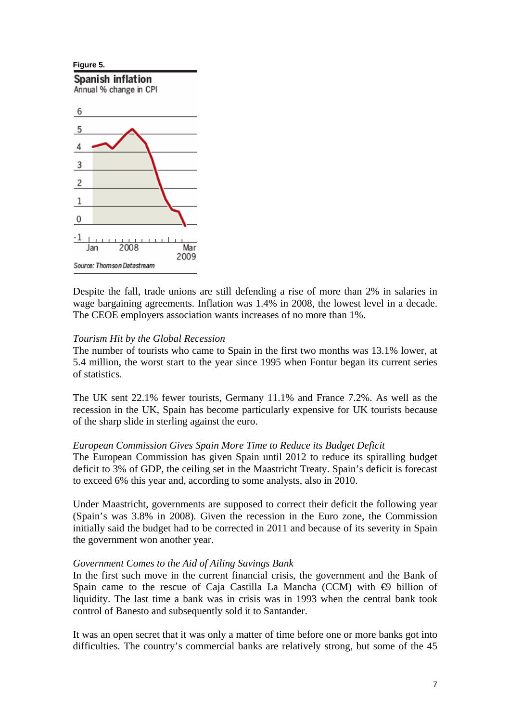

Despite the fall, trade unions are still defending a rise of more than 2% in salaries in wage bargaining agreements. Inflation was 1.4% in 2008, the lowest level in a decade. The CEOE employers association wants increases of no more than 1%.

### *Tourism Hit by the Global Recession*

The number of tourists who came to Spain in the first two months was 13.1% lower, at 5.4 million, the worst start to the year since 1995 when Fontur began its current series of statistics.

The UK sent 22.1% fewer tourists, Germany 11.1% and France 7.2%. As well as the recession in the UK, Spain has become particularly expensive for UK tourists because of the sharp slide in sterling against the euro.

### *European Commission Gives Spain More Time to Reduce its Budget Deficit*

The European Commission has given Spain until 2012 to reduce its spiralling budget deficit to 3% of GDP, the ceiling set in the Maastricht Treaty. Spain's deficit is forecast to exceed 6% this year and, according to some analysts, also in 2010.

Under Maastricht, governments are supposed to correct their deficit the following year (Spain's was 3.8% in 2008). Given the recession in the Euro zone, the Commission initially said the budget had to be corrected in 2011 and because of its severity in Spain the government won another year.

### *Government Comes to the Aid of Ailing Savings Bank*

In the first such move in the current financial crisis, the government and the Bank of Spain came to the rescue of Caja Castilla La Mancha (CCM) with  $\Theta$  billion of liquidity. The last time a bank was in crisis was in 1993 when the central bank took control of Banesto and subsequently sold it to Santander.

It was an open secret that it was only a matter of time before one or more banks got into difficulties. The country's commercial banks are relatively strong, but some of the 45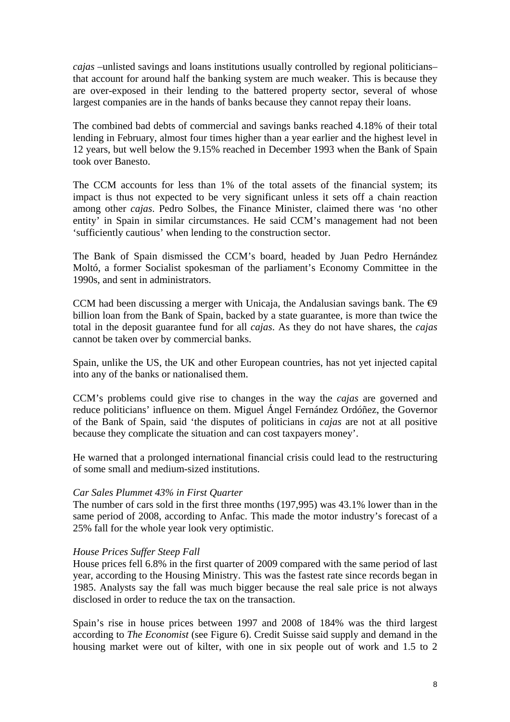*cajas* –unlisted savings and loans institutions usually controlled by regional politicians– that account for around half the banking system are much weaker. This is because they are over-exposed in their lending to the battered property sector, several of whose largest companies are in the hands of banks because they cannot repay their loans.

The combined bad debts of commercial and savings banks reached 4.18% of their total lending in February, almost four times higher than a year earlier and the highest level in 12 years, but well below the 9.15% reached in December 1993 when the Bank of Spain took over Banesto.

The CCM accounts for less than 1% of the total assets of the financial system; its impact is thus not expected to be very significant unless it sets off a chain reaction among other *cajas*. Pedro Solbes, the Finance Minister, claimed there was 'no other entity' in Spain in similar circumstances. He said CCM's management had not been 'sufficiently cautious' when lending to the construction sector.

The Bank of Spain dismissed the CCM's board, headed by Juan Pedro Hernández Moltó, a former Socialist spokesman of the parliament's Economy Committee in the 1990s, and sent in administrators.

CCM had been discussing a merger with Unicaja, the Andalusian savings bank. The  $\Theta$ billion loan from the Bank of Spain, backed by a state guarantee, is more than twice the total in the deposit guarantee fund for all *cajas*. As they do not have shares, the *cajas* cannot be taken over by commercial banks.

Spain, unlike the US, the UK and other European countries, has not yet injected capital into any of the banks or nationalised them.

CCM's problems could give rise to changes in the way the *cajas* are governed and reduce politicians' influence on them. Miguel Ángel Fernández Ordóñez, the Governor of the Bank of Spain, said 'the disputes of politicians in *cajas* are not at all positive because they complicate the situation and can cost taxpayers money'.

He warned that a prolonged international financial crisis could lead to the restructuring of some small and medium-sized institutions.

### *Car Sales Plummet 43% in First Quarter*

The number of cars sold in the first three months (197,995) was 43.1% lower than in the same period of 2008, according to Anfac. This made the motor industry's forecast of a 25% fall for the whole year look very optimistic.

### *House Prices Suffer Steep Fall*

House prices fell 6.8% in the first quarter of 2009 compared with the same period of last year, according to the Housing Ministry. This was the fastest rate since records began in 1985. Analysts say the fall was much bigger because the real sale price is not always disclosed in order to reduce the tax on the transaction.

Spain's rise in house prices between 1997 and 2008 of 184% was the third largest according to *The Economist* (see Figure 6). Credit Suisse said supply and demand in the housing market were out of kilter, with one in six people out of work and 1.5 to 2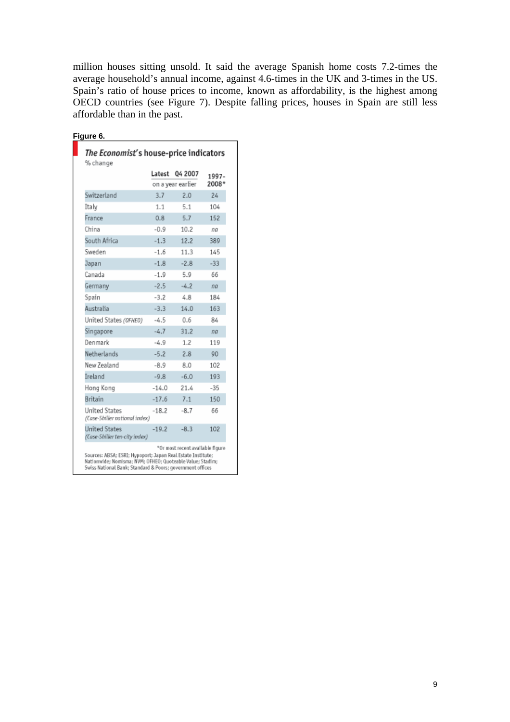million houses sitting unsold. It said the average Spanish home costs 7.2-times the average household's annual income, against 4.6-times in the UK and 3-times in the US. Spain's ratio of house prices to income, known as affordability, is the highest among OECD countries (see Figure 7). Despite falling prices, houses in Spain are still less affordable than in the past.

|  | -ıaure |  |
|--|--------|--|
|  |        |  |

|                                                       | Latest  | 04 2007           | 1997- |
|-------------------------------------------------------|---------|-------------------|-------|
|                                                       |         | on a year earlier | 2008* |
| Switzerland                                           | 3.7     | 2.0               | 24    |
| Italy                                                 | 1.1     | 5.1               | 104   |
| France                                                | 0.8     | 5.7               | 152   |
| China                                                 | $-0.9$  | 10.2              | na    |
| South Africa                                          | $-1.3$  | 12.2              | 389   |
| Sweden                                                | $-1.6$  | 11.3              | 145   |
| Japan                                                 | $-1.8$  | $-2.8$            | $-33$ |
| Canada                                                | $-1.9$  | 5.9               | 66    |
| Germany                                               | $-2.5$  | $-4.2$            | na    |
| Spain                                                 | $-3.2$  | 4.8               | 184   |
| Australia                                             | $-3.3$  | 14.0              | 163   |
| United States (OFHEO)                                 | $-4.5$  | 0.6               | 84    |
| Singapore                                             | $-4.7$  | 31.2              | na    |
| Denmark                                               | $-4.9$  | 1.2               | 119   |
| Netherlands                                           | $-5.2$  | 2.8               | 90    |
| New Zealand                                           | $-8.9$  | 8.0               | 102   |
| Ireland                                               | $-9.8$  | $-6.0$            | 193   |
| Hong Kong                                             | $-14.0$ | 21.4              | $-35$ |
| Britain                                               | $-17.6$ | 7.1               | 150   |
| <b>United States</b><br>(Case-Shiller national index) | $-18.2$ | $-8.7$            | 66    |
| <b>United States</b><br>(Case-Shiller ten-city index) | $-19.2$ | $-8.3$            | 102   |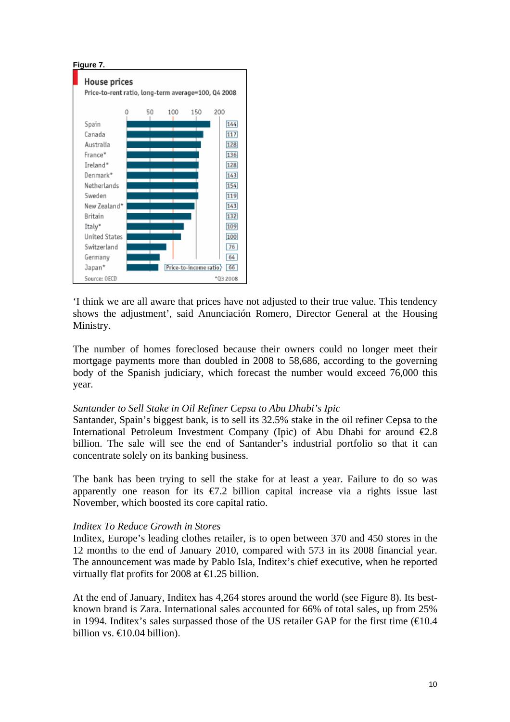

'I think we are all aware that prices have not adjusted to their true value. This tendency shows the adjustment', said Anunciación Romero, Director General at the Housing Ministry.

The number of homes foreclosed because their owners could no longer meet their mortgage payments more than doubled in 2008 to 58,686, according to the governing body of the Spanish judiciary, which forecast the number would exceed 76,000 this year.

### *Santander to Sell Stake in Oil Refiner Cepsa to Abu Dhabi's Ipic*

Santander, Spain's biggest bank, is to sell its 32.5% stake in the oil refiner Cepsa to the International Petroleum Investment Company (Ipic) of Abu Dhabi for around  $\epsilon 2.8$ billion. The sale will see the end of Santander's industrial portfolio so that it can concentrate solely on its banking business.

The bank has been trying to sell the stake for at least a year. Failure to do so was apparently one reason for its  $\epsilon$ 7.2 billion capital increase via a rights issue last November, which boosted its core capital ratio.

### *Inditex To Reduce Growth in Stores*

Inditex, Europe's leading clothes retailer, is to open between 370 and 450 stores in the 12 months to the end of January 2010, compared with 573 in its 2008 financial year. The announcement was made by Pablo Isla, Inditex's chief executive, when he reported virtually flat profits for 2008 at  $\in$  1.25 billion.

At the end of January, Inditex has 4,264 stores around the world (see Figure 8). Its bestknown brand is Zara. International sales accounted for 66% of total sales, up from 25% in 1994. Inditex's sales surpassed those of the US retailer GAP for the first time  $(\text{\textcircled{40.4}})$ billion vs.  $\bigoplus$  0.04 billion).